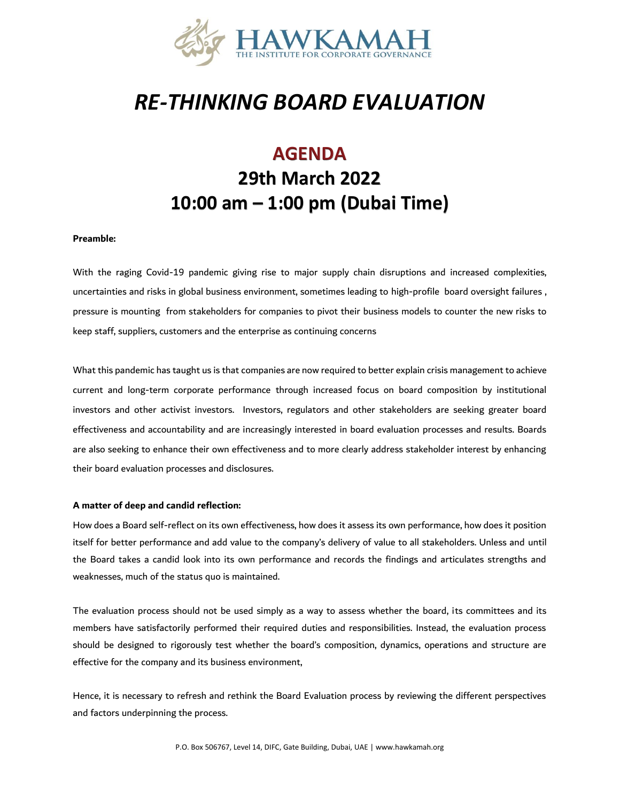

# *RE-THINKING BOARD EVALUATION*

# **AGENDA 29th March 2022 10:00 am – 1:00 pm (Dubai Time)**

#### **Preamble:**

With the raging Covid-19 pandemic giving rise to major supply chain disruptions and increased complexities, uncertainties and risks in global business environment, sometimes leading to high-profile board oversight failures , pressure is mounting from stakeholders for companies to pivot their business models to counter the new risks to keep staff, suppliers, customers and the enterprise as continuing concerns

What this pandemic has taught us is that companies are now required to better explain crisis management to achieve current and long-term corporate performance through increased focus on board composition by institutional investors and other activist investors. Investors, regulators and other stakeholders are seeking greater board effectiveness and accountability and are increasingly interested in board evaluation processes and results. Boards are also seeking to enhance their own effectiveness and to more clearly address stakeholder interest by enhancing their board evaluation processes and disclosures.

#### **A matter of deep and candid reflection:**

How does a Board self-reflect on its own effectiveness, how does it assess its own performance, how does it position itself for better performance and add value to the company's delivery of value to all stakeholders. Unless and until the Board takes a candid look into its own performance and records the findings and articulates strengths and weaknesses, much of the status quo is maintained.

The evaluation process should not be used simply as a way to assess whether the board, its committees and its members have satisfactorily performed their required duties and responsibilities. Instead, the evaluation process should be designed to rigorously test whether the board's composition, dynamics, operations and structure are effective for the company and its business environment,

Hence, it is necessary to refresh and rethink the Board Evaluation process by reviewing the different perspectives and factors underpinning the process.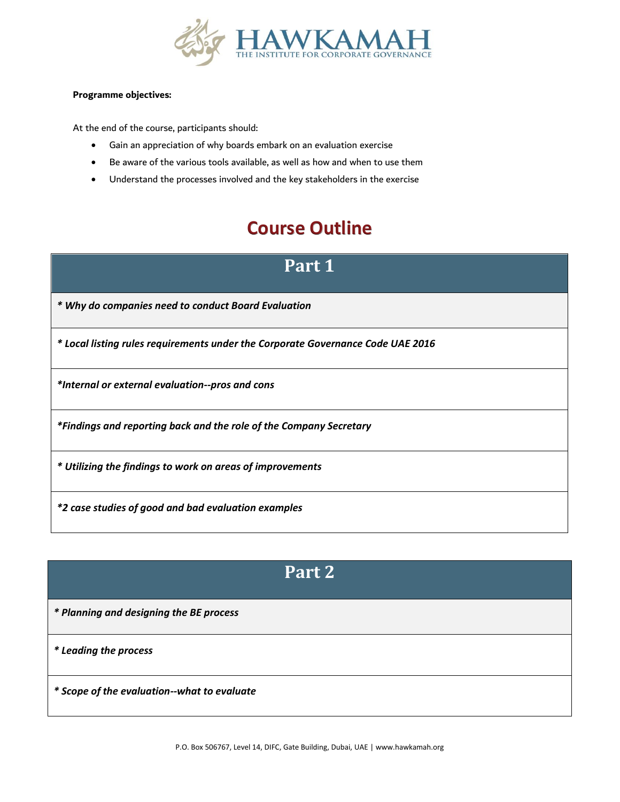

#### **Programme objectives:**

At the end of the course, participants should:

- Gain an appreciation of why boards embark on an evaluation exercise
- Be aware of the various tools available, as well as how and when to use them
- Understand the processes involved and the key stakeholders in the exercise

### **Course Outline**

#### **Part 1**

*\* Why do companies need to conduct Board Evaluation*

*\* Local listing rules requirements under the Corporate Governance Code UAE 2016*

*\*Internal or external evaluation--pros and cons*

*\*Findings and reporting back and the role of the Company Secretary* 

*\* Utilizing the findings to work on areas of improvements*

*\*2 case studies of good and bad evaluation examples*

### **Part 2**

*\* Planning and designing the BE process*

*\* Leading the process*

*\* Scope of the evaluation--what to evaluate*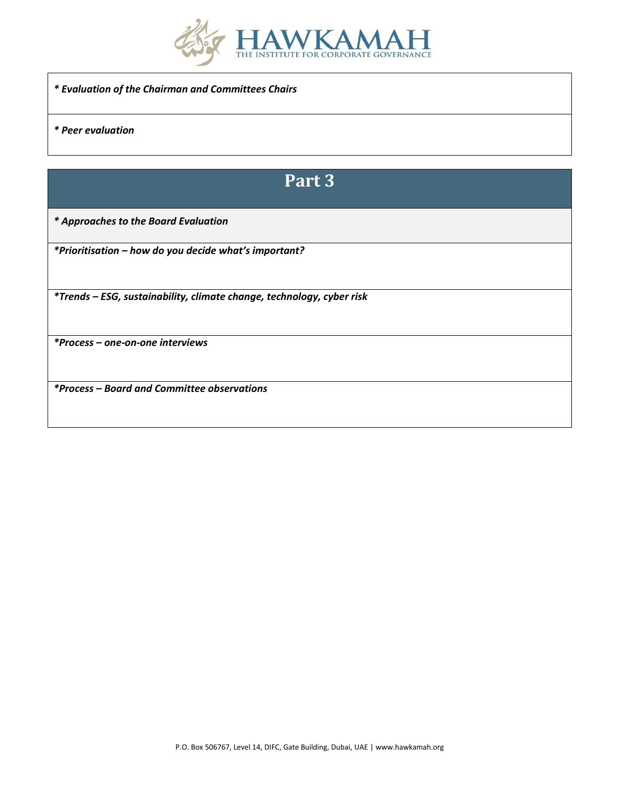

*\* Evaluation of the Chairman and Committees Chairs*

*\* Peer evaluation*

# **Part 3**

*\* Approaches to the Board Evaluation*

*\*Prioritisation – how do you decide what's important?*

*\*Trends – ESG, sustainability, climate change, technology, cyber risk*

*\*Process – one-on-one interviews*

*\*Process – Board and Committee observations*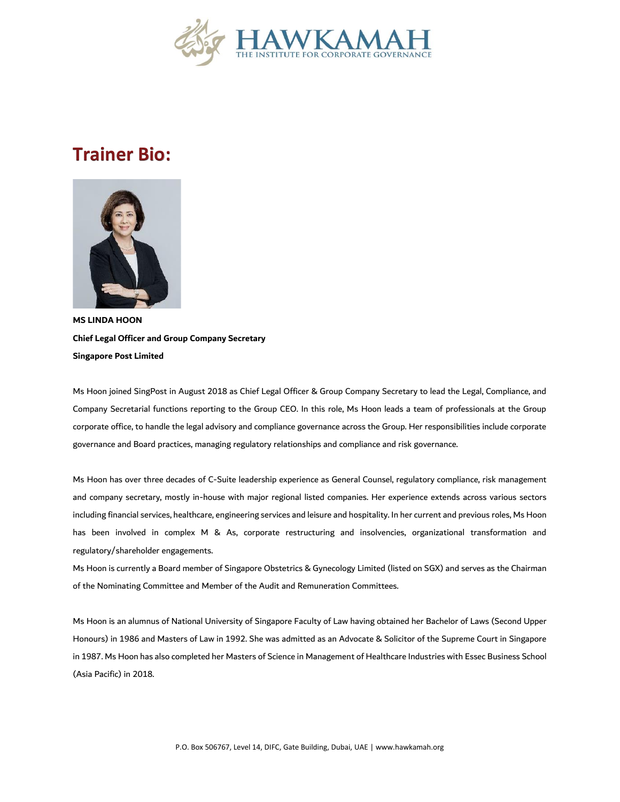

### **Trainer Bio:**



**MS LINDA HOON Chief Legal Officer and Group Company Secretary Singapore Post Limited** 

Ms Hoon joined SingPost in August 2018 as Chief Legal Officer & Group Company Secretary to lead the Legal, Compliance, and Company Secretarial functions reporting to the Group CEO. In this role, Ms Hoon leads a team of professionals at the Group corporate office, to handle the legal advisory and compliance governance across the Group. Her responsibilities include corporate governance and Board practices, managing regulatory relationships and compliance and risk governance.

Ms Hoon has over three decades of C-Suite leadership experience as General Counsel, regulatory compliance, risk management and company secretary, mostly in-house with major regional listed companies. Her experience extends across various sectors including financial services, healthcare, engineering services and leisure and hospitality. In her current and previous roles, Ms Hoon has been involved in complex M & As, corporate restructuring and insolvencies, organizational transformation and regulatory/shareholder engagements.

Ms Hoon is currently a Board member of Singapore Obstetrics & Gynecology Limited (listed on SGX) and serves as the Chairman of the Nominating Committee and Member of the Audit and Remuneration Committees.

Ms Hoon is an alumnus of National University of Singapore Faculty of Law having obtained her Bachelor of Laws (Second Upper Honours) in 1986 and Masters of Law in 1992. She was admitted as an Advocate & Solicitor of the Supreme Court in Singapore in 1987. Ms Hoon has also completed her Masters of Science in Management of Healthcare Industries with Essec Business School (Asia Pacific) in 2018.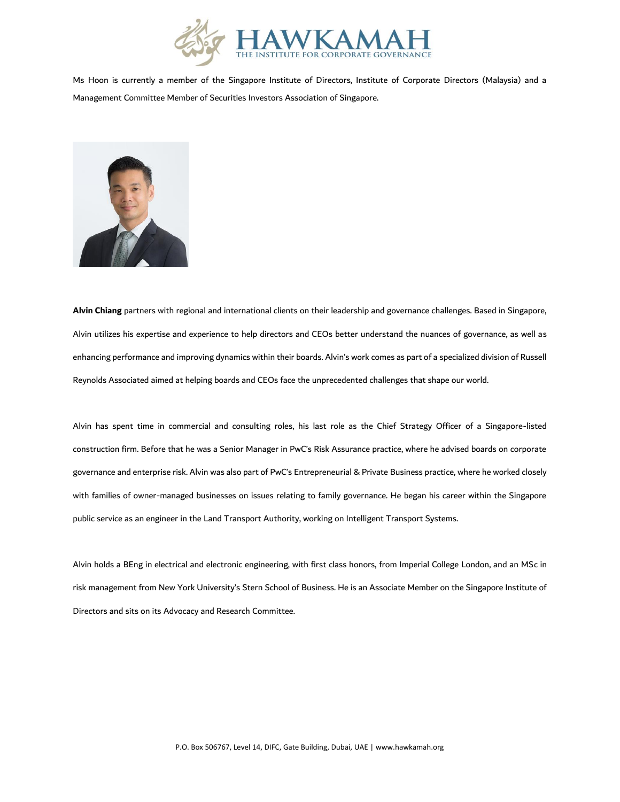

Ms Hoon is currently a member of the Singapore Institute of Directors, Institute of Corporate Directors (Malaysia) and a Management Committee Member of Securities Investors Association of Singapore.



**Alvin Chiang** partners with regional and international clients on their leadership and governance challenges. Based in Singapore, Alvin utilizes his expertise and experience to help directors and CEOs better understand the nuances of governance, as well as enhancing performance and improving dynamics within their boards. Alvin's work comes as part of a specialized division of Russell Reynolds Associated aimed at helping boards and CEOs face the unprecedented challenges that shape our world.

Alvin has spent time in commercial and consulting roles, his last role as the Chief Strategy Officer of a Singapore-listed construction firm. Before that he was a Senior Manager in PwC's Risk Assurance practice, where he advised boards on corporate governance and enterprise risk. Alvin was also part of PwC's Entrepreneurial & Private Business practice, where he worked closely with families of owner-managed businesses on issues relating to family governance. He began his career within the Singapore public service as an engineer in the Land Transport Authority, working on Intelligent Transport Systems.

Alvin holds a BEng in electrical and electronic engineering, with first class honors, from Imperial College London, and an MSc in risk management from New York University's Stern School of Business. He is an Associate Member on the Singapore Institute of Directors and sits on its Advocacy and Research Committee.